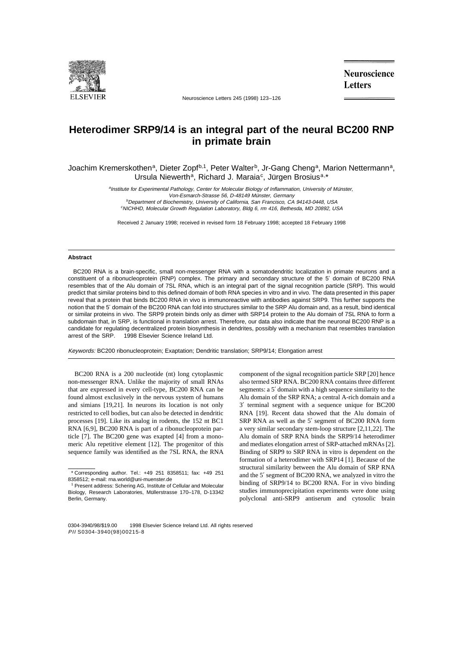

Neuroscience Letters 245 (1998) 123–126

**Neuroscience Letters** 

## **Heterodimer SRP9/14 is an integral part of the neural BC200 RNP in primate brain**

Joachim Kremerskothen<sup>a</sup>, Dieter Zopf<sup>b,1</sup>, Peter Walter<sup>b</sup>, Jr-Gang Cheng<sup>a</sup>, Marion Nettermann<sup>a</sup>, Ursula Niewerth<sup>a</sup>, Richard J. Maraia<sup>c</sup>, Jürgen Brosius<sup>a,\*</sup>

> aInstitute for Experimental Pathology, Center for Molecular Biology of Inflammation, University of Münster, Von-Esmarch-Strasse 56, D-48149 Münster, Germany <sup>b</sup>Department of Biochemistry, University of California, San Francisco, CA 94143-0448, USA

c NICHHD, Molecular Growth Regulation Laboratory, Bldg 6, rm 416, Bethesda, MD 20892, USA

Received 2 January 1998; received in revised form 18 February 1998; accepted 18 February 1998

## **Abstract**

BC200 RNA is a brain-specific, small non-messenger RNA with a somatodendritic localization in primate neurons and a constituent of a ribonucleoprotein (RNP) complex. The primary and secondary structure of the 5′ domain of BC200 RNA resembles that of the Alu domain of 7SL RNA, which is an integral part of the signal recognition particle (SRP). This would predict that similar proteins bind to this defined domain of both RNA species in vitro and in vivo. The data presented in this paper reveal that a protein that binds BC200 RNA in vivo is immunoreactive with antibodies against SRP9. This further supports the notion that the 5′ domain of the BC200 RNA can fold into structures similar to the SRP Alu domain and, as a result, bind identical or similar proteins in vivo. The SRP9 protein binds only as dimer with SRP14 protein to the Alu domain of 7SL RNA to form a subdomain that, in SRP, is functional in translation arrest. Therefore, our data also indicate that the neuronal BC200 RNP is a candidate for regulating decentralized protein biosynthesis in dendrites, possibly with a mechanism that resembles translation arrest of the SRP. © 1998 Elsevier Science Ireland Ltd.

Keywords: BC200 ribonucleoprotein; Exaptation; Dendritic translation; SRP9/14; Elongation arrest

BC200 RNA is a 200 nucleotide (nt) long cytoplasmic non-messenger RNA. Unlike the majority of small RNAs that are expressed in every cell-type, BC200 RNA can be found almost exclusively in the nervous system of humans and simians [19,21]. In neurons its location is not only restricted to cell bodies, but can also be detected in dendritic processes [19]. Like its analog in rodents, the 152 nt BC1 RNA [6,9], BC200 RNA is part of a ribonucleoprotein particle [7]. The BC200 gene was exapted [4] from a monomeric Alu repetitive element [12]. The progenitor of this sequence family was identified as the 7SL RNA, the RNA component of the signal recognition particle SRP [20] hence also termed SRP RNA. BC200 RNA contains three different segments: a 5′ domain with a high sequence similarity to the Alu domain of the SRP RNA; a central A-rich domain and a 3′ terminal segment with a sequence unique for BC200 RNA [19]. Recent data showed that the Alu domain of SRP RNA as well as the 5′ segment of BC200 RNA form a very similar secondary stem-loop structure [2,11,22]. The Alu domain of SRP RNA binds the SRP9/14 heterodimer and mediates elongation arrest of SRP-attached mRNAs [2]. Binding of SRP9 to SRP RNA in vitro is dependent on the formation of a heterodimer with SRP14 [1]. Because of the structural similarity between the Alu domain of SRP RNA and the 5′ segment of BC200 RNA, we analyzed in vitro the binding of SRP9/14 to BC200 RNA. For in vivo binding studies immunoprecipitation experiments were done using polyclonal anti-SRP9 antiserum and cytosolic brain

<sup>\*</sup> Corresponding author. Tel.: +49 251 8358511; fax: +49 251 8358512; e-mail: rna.world@uni-muenster.de

<sup>1</sup> Present address: Schering AG, Institute of Cellular and Molecular Biology, Research Laboratories, Müllerstrasse 170-178, D-13342 Berlin, Germany.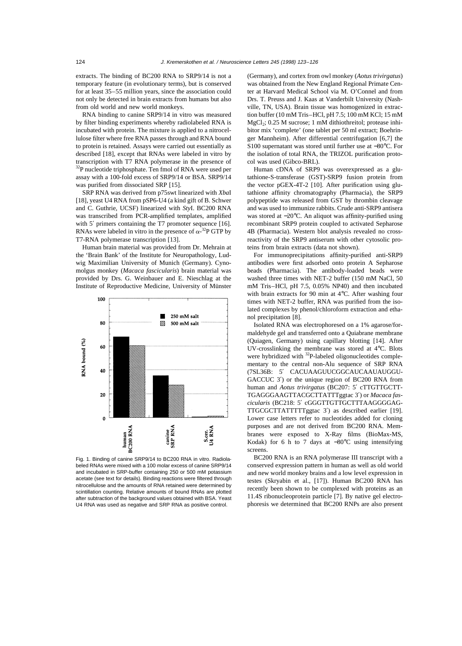extracts. The binding of BC200 RNA to SRP9/14 is not a temporary feature (in evolutionary terms), but is conserved for at least 35–55 million years, since the association could not only be detected in brain extracts from humans but also from old world and new world monkeys.

RNA binding to canine SRP9/14 in vitro was measured by filter binding experiments whereby radiolabeled RNA is incubated with protein. The mixture is applied to a nitrocellulose filter where free RNA passes through and RNA bound to protein is retained. Assays were carried out essentially as described [18], except that RNAs were labeled in vitro by transcription with T7 RNA polymerase in the presence of  $32P$  nucleotide triphosphate. Ten fmol of RNA were used per assay with a 100-fold excess of SRP9/14 or BSA. SRP9/14 was purified from dissociated SRP [15].

SRP RNA was derived from p75swt linearized with *Xba*I [18], yeast U4 RNA from pSP6-U4 (a kind gift of B. Schwer and C. Guthrie, UCSF) linearized with *Sty*I. BC200 RNA was transcribed from PCR-amplified templates, amplified with 5' primers containing the T7 promoter sequence [16]. RNAs were labeled in vitro in the presence of  $\alpha$ -<sup>32</sup>P GTP by T7-RNA polymerase transcription [13].

Human brain material was provided from Dr. Mehrain at the 'Brain Bank' of the Institute for Neuropathology, Ludwig Maximilian University of Munich (Germany). Cynomolgus monkey (*Macaca fascicularis*) brain material was provided by Drs. G. Weinbauer and E. Nieschlag at the Institute of Reproductive Medicine, University of Münster



Fig. 1. Binding of canine SRP9/14 to BC200 RNA in vitro. Radiolabeled RNAs were mixed with a 100 molar excess of canine SRP9/14 and incubated in SRP-buffer containing 250 or 500 mM potassium acetate (see text for details). Binding reactions were filtered through nitrocellulose and the amounts of RNA retained were determined by scintillation counting. Relative amounts of bound RNAs are plotted after subtraction of the background values obtained with BSA. Yeast U4 RNA was used as negative and SRP RNA as positive control.

(Germany), and cortex from owl monkey (*Aotus trivirgatus*) was obtained from the New England Regional Primate Center at Harvard Medical School via M. O'Connel and from Drs. T. Preuss and J. Kaas at Vanderbilt University (Nashville, TN, USA). Brain tissue was homogenized in extraction buffer (10 mM Tris–HCl, pH 7.5; 100 mM KCl; 15 mM  $MgCl<sub>2</sub>; 0.25 M sucrose; 1 mM dithiothreitol; protease inhi$ bitor mix 'complete' (one tablet per 50 ml extract; Boehringer Mannheim). After differential centrifugation [6,7] the S100 supernatant was stored until further use at −80°C. For the isolation of total RNA, the TRIZOL purification protocol was used (Gibco-BRL).

Human cDNA of SRP9 was overexpressed as a glutathione-S-transferase (GST)-SRP9 fusion protein from the vector pGEX-4T-2 [10]. After purification using glutathione affinity chromatography (Pharmacia), the SRP9 polypeptide was released from GST by thrombin cleavage and was used to immunize rabbits. Crude anti-SRP9 antisera was stored at −20°C. An aliquot was affinity-purified using recombinant SRP9 protein coupled to activated Sepharose 4B (Pharmacia). Western blot analysis revealed no crossreactivity of the SRP9 antiserum with other cytosolic proteins from brain extracts (data not shown).

For immunoprecipitations affinity-purified anti-SRP9 antibodies were first adsorbed onto protein A Sepharose beads (Pharmacia). The antibody-loaded beads were washed three times with NET-2 buffer (150 mM NaCl, 50 mM Tris–HCl, pH 7.5, 0.05% NP40) and then incubated with brain extracts for 90 min at 4°C. After washing four times with NET-2 buffer, RNA was purified from the isolated complexes by phenol/chloroform extraction and ethanol precipitation [8].

Isolated RNA was electrophoresed on a 1% agarose/formaldehyde gel and transferred onto a Quiabrane membrane (Quiagen, Germany) using capillary blotting [14]. After UV-crosslinking the membrane was stored at 4°C. Blots were hybridized with  $32P$ -labeled oligonucleotides complementary to the central non-Alu sequence of SRP RNA (7SL36B: 5′ CACUAAGUUCGGCAUCAAUAUGGU-GACCUC 3′) or the unique region of BC200 RNA from human and *Aotus trivirgatus* (BC207: 5′ cTTGTTGCTT-TGAGGGAAGTTACGCTTATTTggtac 3′) or *Macaca fascicularis* (BC218: 5′ cGGGTTGTTGCTTTAAGGGGAG-TTGCGCTTATTTTTggtac 3′) as described earlier [19]. Lower case letters refer to nucleotides added for cloning purposes and are not derived from BC200 RNA. Membranes were exposed to X-Ray films (BioMax-MS, Kodak) for 6 h to 7 days at −80°C using intensifying screens.

BC200 RNA is an RNA polymerase III transcript with a conserved expression pattern in human as well as old world and new world monkey brains and a low level expression in testes (Skryabin et al., [17]). Human BC200 RNA has recently been shown to be complexed with proteins as an 11.4S ribonucleoprotein particle [7]. By native gel electrophoresis we determined that BC200 RNPs are also present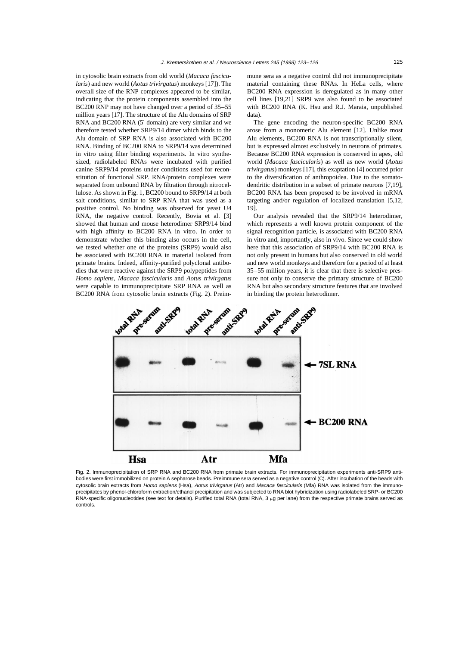in cytosolic brain extracts from old world (*Macaca fascicularis*) and new world (*Aotus trivirgatus*) monkeys [17]). The overall size of the RNP complexes appeared to be similar, indicating that the protein components assembled into the BC200 RNP may not have changed over a period of 35–55 million years [17]. The structure of the Alu domains of SRP RNA and BC200 RNA (5′ domain) are very similar and we therefore tested whether SRP9/14 dimer which binds to the Alu domain of SRP RNA is also associated with BC200 RNA. Binding of BC200 RNA to SRP9/14 was determined in vitro using filter binding experiments. In vitro synthesized, radiolabeled RNAs were incubated with purified canine SRP9/14 proteins under conditions used for reconstitution of functional SRP. RNA/protein complexes were separated from unbound RNA by filtration through nitrocellulose. As shown in Fig. 1, BC200 bound to SRP9/14 at both salt conditions, similar to SRP RNA that was used as a positive control. No binding was observed for yeast U4 RNA, the negative control. Recently, Bovia et al. [3] showed that human and mouse heterodimer SRP9/14 bind with high affinity to BC200 RNA in vitro. In order to demonstrate whether this binding also occurs in the cell, we tested whether one of the proteins (SRP9) would also be associated with BC200 RNA in material isolated from primate brains. Indeed, affinity-purified polyclonal antibodies that were reactive against the SRP9 polypeptides from *Homo sapiens*, *Macaca fascicularis* and *Aotus trivirgatus* were capable to immunoprecipitate SRP RNA as well as BC200 RNA from cytosolic brain extracts (Fig. 2). Preimmune sera as a negative control did not immunoprecipitate material containing these RNAs. In HeLa cells, where BC200 RNA expression is deregulated as in many other cell lines [19,21] SRP9 was also found to be associated with BC200 RNA (K. Hsu and R.J. Maraia, unpublished data).

The gene encoding the neuron-specific BC200 RNA arose from a monomeric Alu element [12]. Unlike most Alu elements, BC200 RNA is not transcriptionally silent, but is expressed almost exclusively in neurons of primates. Because BC200 RNA expression is conserved in apes, old world (*Macaca fascicularis*) as well as new world (*Aotus trivirgatus*) monkeys [17], this exaptation [4] occurred prior to the diversification of anthropoidea. Due to the somatodendritic distribution in a subset of primate neurons [7,19], BC200 RNA has been proposed to be involved in mRNA targeting and/or regulation of localized translation [5,12, 19].

Our analysis revealed that the SRP9/14 heterodimer, which represents a well known protein component of the signal recognition particle, is associated with BC200 RNA in vitro and, importantly, also in vivo. Since we could show here that this association of SRP9/14 with BC200 RNA is not only present in humans but also conserved in old world and new world monkeys and therefore for a period of at least 35–55 million years, it is clear that there is selective pressure not only to conserve the primary structure of BC200 RNA but also secondary structure features that are involved in binding the protein heterodimer.



Fig. 2. Immunoprecipitation of SRP RNA and BC200 RNA from primate brain extracts. For immunoprecipitation experiments anti-SRP9 antibodies were first immobilized on protein A sepharose beads. Preimmune sera served as a negative control (C). After incubation of the beads with cytosolic brain extracts from Homo sapiens (Hsa), Aotus trivirgatus (Atr) and Macaca fascicularis (Mfa) RNA was isolated from the immunoprecipitates by phenol-chloroform extraction/ethanol precipitation and was subjected to RNA blot hybridization using radiolabeled SRP- or BC200 RNA-specific oligonucleotides (see text for details). Purified total RNA (total RNA, 3  $\mu$ g per lane) from the respective primate brains served as controls.